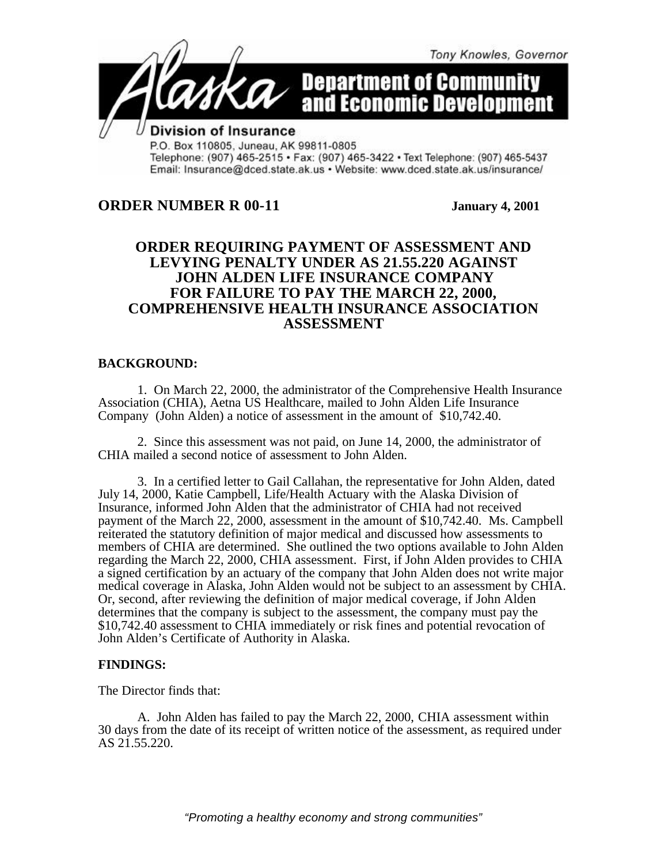

P.O. Box 110805, Juneau, AK 99811-0805 Telephone: (907) 465-2515 · Fax: (907) 465-3422 · Text Telephone: (907) 465-5437 Email: Insurance@dced.state.ak.us • Website: www.dced.state.ak.us/insurance/

# **ORDER NUMBER R 00-11 January 4, 2001**

## **ORDER REQUIRING PAYMENT OF ASSESSMENT AND LEVYING PENALTY UNDER AS 21.55.220 AGAINST JOHN ALDEN LIFE INSURANCE COMPANY FOR FAILURE TO PAY THE MARCH 22, 2000, COMPREHENSIVE HEALTH INSURANCE ASSOCIATION ASSESSMENT**

### **BACKGROUND:**

1. On March 22, 2000, the administrator of the Comprehensive Health Insurance Association (CHIA), Aetna US Healthcare, mailed to John Alden Life Insurance Company (John Alden) a notice of assessment in the amount of \$10,742.40.

2. Since this assessment was not paid, on June 14, 2000, the administrator of CHIA mailed a second notice of assessment to John Alden.

3. In a certified letter to Gail Callahan, the representative for John Alden, dated July 14, 2000, Katie Campbell, Life/Health Actuary with the Alaska Division of Insurance, informed John Alden that the administrator of CHIA had not received payment of the March 22, 2000, assessment in the amount of \$10,742.40. Ms. Campbell reiterated the statutory definition of major medical and discussed how assessments to members of CHIA are determined. She outlined the two options available to John Alden regarding the March 22, 2000, CHIA assessment. First, if John Alden provides to CHIA a signed certification by an actuary of the company that John Alden does not write major medical coverage in Alaska, John Alden would not be subject to an assessment by CHIA. Or, second, after reviewing the definition of major medical coverage, if John Alden determines that the company is subject to the assessment, the company must pay the \$10,742.40 assessment to CHIA immediately or risk fines and potential revocation of John Alden's Certificate of Authority in Alaska.

### **FINDINGS:**

The Director finds that:

A. John Alden has failed to pay the March 22, 2000, CHIA assessment within 30 days from the date of its receipt of written notice of the assessment, as required under AS 21.55.220.